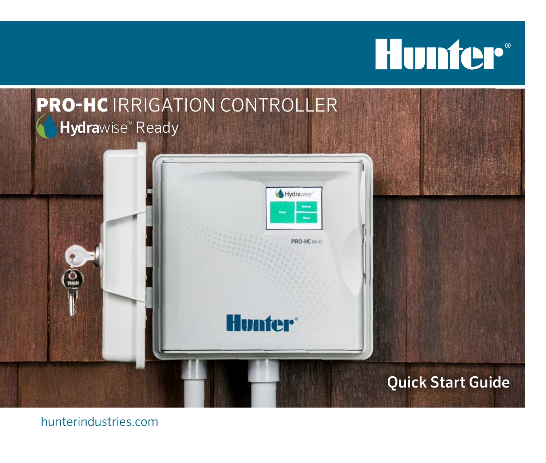# **Hunter®**



hunterindustries.com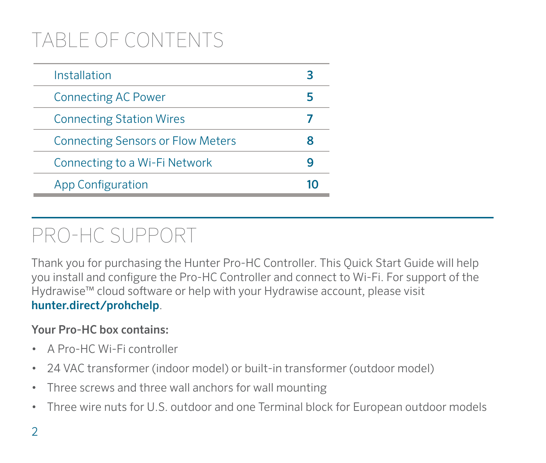# TABLE OF CONTENTS

| Installation                             | 3 |
|------------------------------------------|---|
| <b>Connecting AC Power</b>               | 5 |
| <b>Connecting Station Wires</b>          |   |
| <b>Connecting Sensors or Flow Meters</b> | я |
| Connecting to a Wi-Fi Network            | q |
| <b>App Configuration</b>                 |   |

## PRO-HC SUPPORT

Thank you for purchasing the Hunter Pro-HC Controller. This Quick Start Guide will help you install and configure the Pro-HC Controller and connect to Wi-Fi. For support of the Hydrawise™ cloud software or help with your Hydrawise account, please visit hunter.direct/prohchelp.

#### Your Pro-HC box contains:

- A Pro-HC Wi-Fi controller
- 24 VAC transformer (indoor model) or built-in transformer (outdoor model)
- Three screws and three wall anchors for wall mounting
- Three wire nuts for U.S. outdoor and one Terminal block for European outdoor models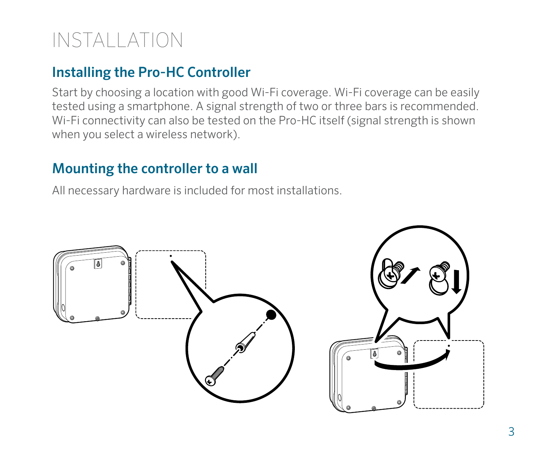# INSTALLATION

### Installing the Pro-HC Controller

Start by choosing a location with good Wi-Fi coverage. Wi-Fi coverage can be easily tested using a smartphone. A signal strength of two or three bars is recommended. Wi-Fi connectivity can also be tested on the Pro-HC itself (signal strength is shown when you select a wireless network).

#### Mounting the controller to a wall

All necessary hardware is included for most installations.

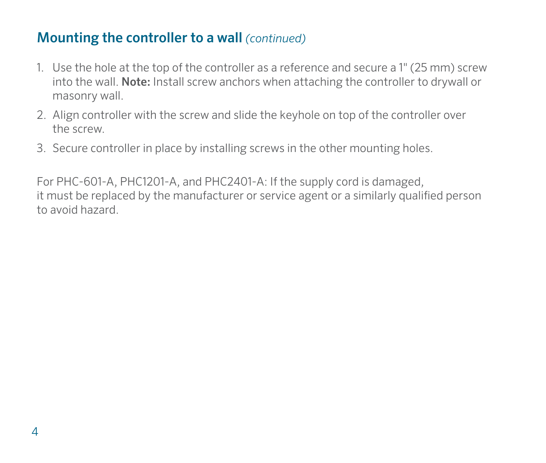#### Mounting the controller to a wall *(continued)*

- 1. Use the hole at the top of the controller as a reference and secure a 1" (25 mm) screw into the wall. Note: Install screw anchors when attaching the controller to drywall or masonry wall.
- 2. Align controller with the screw and slide the keyhole on top of the controller over the screw.
- 3. Secure controller in place by installing screws in the other mounting holes.

For PHC-601-A, PHC1201-A, and PHC2401-A: If the supply cord is damaged, it must be replaced by the manufacturer or service agent or a similarly qualified person to avoid hazard.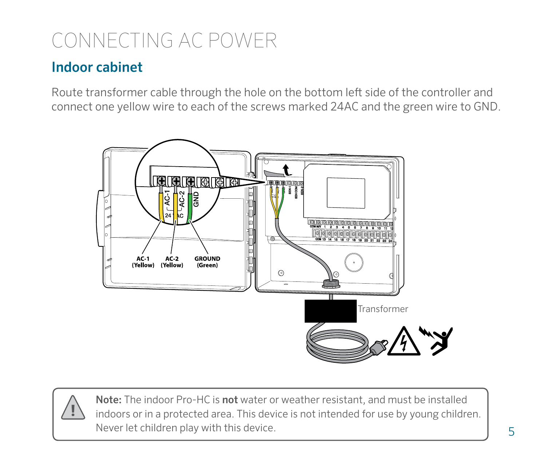### CONNECTING AC POWER

### Indoor cabinet

Route transformer cable through the hole on the bottom left side of the controller and connect one yellow wire to each of the screws marked 24AC and the green wire to GND.



Note: The indoor Pro-HC is not water or weather resistant, and must be installed indoors or in a protected area. This device is not intended for use by young children. Never let children play with this device.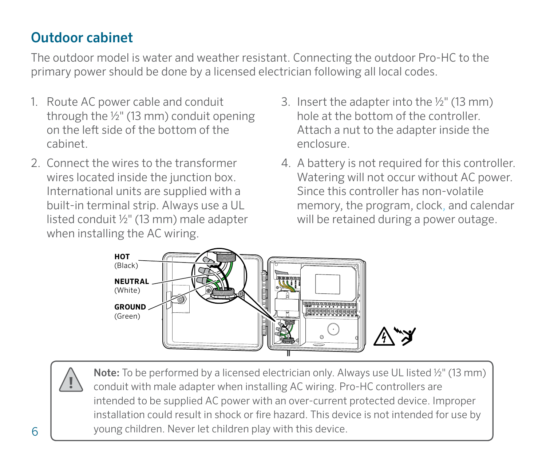### Outdoor cabinet

The outdoor model is water and weather resistant. Connecting the outdoor Pro-HC to the primary power should be done by a licensed electrician following all local codes.

- 1. Route AC power cable and conduit through the ½" (13 mm) conduit opening on the left side of the bottom of the cabinet.
- 2. Connect the wires to the transformer wires located inside the junction box. International units are supplied with a built-in terminal strip. Always use a UL listed conduit ½" (13 mm) male adapter when installing the AC wiring.
- 3. Insert the adapter into the ½" (13 mm) hole at the bottom of the controller. Attach a nut to the adapter inside the enclosure.
- 4. A battery is not required for this controller. Watering will not occur without AC power. Since this controller has non-volatile memory, the program, clock, and calendar will be retained during a power outage.



Note: To be performed by a licensed electrician only. Always use UL listed ½" (13 mm) conduit with male adapter when installing AC wiring. Pro-HC controllers are intended to be supplied AC power with an over-current protected device. Improper installation could result in shock or fire hazard. This device is not intended for use by young children. Never let children play with this device.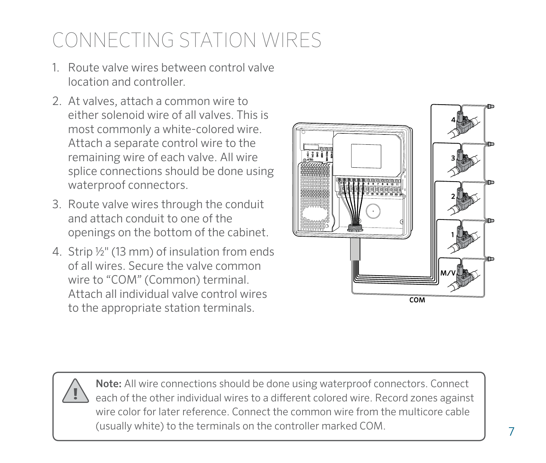# CONNECTING STATION WIRES

- 1. Route valve wires between control valve location and controller.
- 2. At valves, attach a common wire to either solenoid wire of all valves. This is most commonly a white-colored wire. Attach a separate control wire to the remaining wire of each valve. All wire splice connections should be done using waterproof connectors.
- 3. Route valve wires through the conduit and attach conduit to one of the openings on the bottom of the cabinet.
- 4. Strip ½" (13 mm) of insulation from ends of all wires. Secure the valve common wire to "COM" (Common) terminal. Attach all individual valve control wires to the appropriate station terminals.





Note: All wire connections should be done using waterproof connectors. Connect each of the other individual wires to a different colored wire. Record zones against wire color for later reference. Connect the common wire from the multicore cable (usually white) to the terminals on the controller marked COM.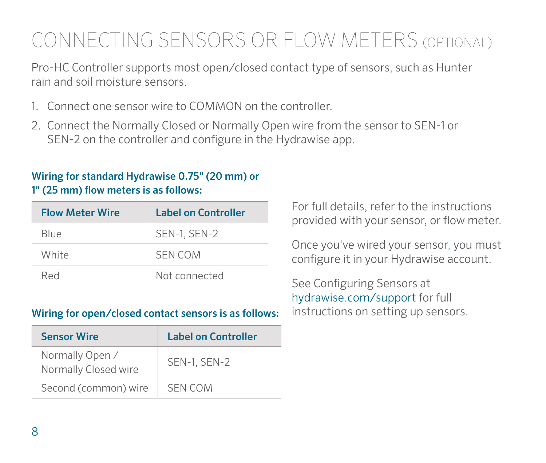# CONNECTING SENSORS OR FLOW METERS (OPTIONAL)

Pro-HC Controller supports most open/closed contact type of sensors, such as Hunter rain and soil moisture sensors.

- 1. Connect one sensor wire to COMMON on the controller.
- 2. Connect the Normally Closed or Normally Open wire from the sensor to SEN-1 or SEN-2 on the controller and configure in the Hydrawise app.

#### Wiring for standard Hydrawise 0.75" (20 mm) or 1" (25 mm) flow meters is as follows:

| <b>Flow Meter Wire</b> | Label on Controller |
|------------------------|---------------------|
| Blue                   | <b>SEN-1, SEN-2</b> |
| White                  | <b>SEN COM</b>      |
| Red                    | Not connected       |

#### Wiring for open/closed contact sensors is as follows:

| <b>Sensor Wire</b>                      | Label on Controller |
|-----------------------------------------|---------------------|
| Normally Open /<br>Normally Closed wire | <b>SEN-1, SEN-2</b> |
| Second (common) wire                    | <b>SEN COM</b>      |

For full details, refer to the instructions provided with your sensor, or flow meter.

Once you've wired your sensor, you must configure it in your Hydrawise account.

See Configuring Sensors at hydrawise.com/support for full instructions on setting up sensors.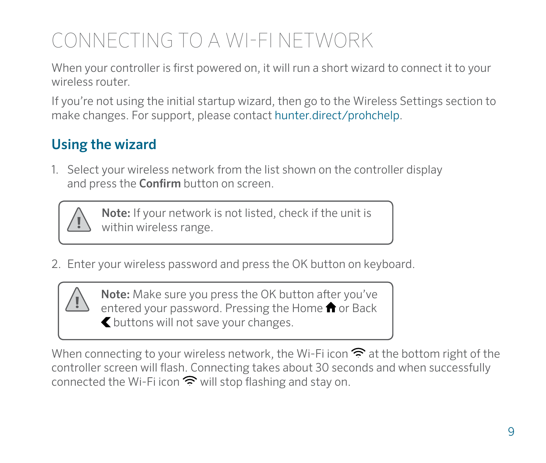# CONNECTING TO A WI-FI NETWORK

When your controller is first powered on, it will run a short wizard to connect it to your wireless router.

If you're not using the initial startup wizard, then go to the Wireless Settings section to make changes. For support, please contact hunter.direct/prohchelp.

### Using the wizard

1. Select your wireless network from the list shown on the controller display and press the **Confirm** button on screen.



Note: If your network is not listed, check if the unit is within wireless range.

2. Enter your wireless password and press the OK button on keyboard.



Note: Make sure you press the OK button after you've entered your password. Pressing the Home  $\bigcap$  or Back buttons will not save your changes.

When connecting to your wireless network, the Wi-Fi icon  $\widehat{\mathbb{R}}$  at the bottom right of the controller screen will flash. Connecting takes about 30 seconds and when successfully connected the Wi-Fi icon  $\widehat{\mathbb{R}}$  will stop flashing and stay on.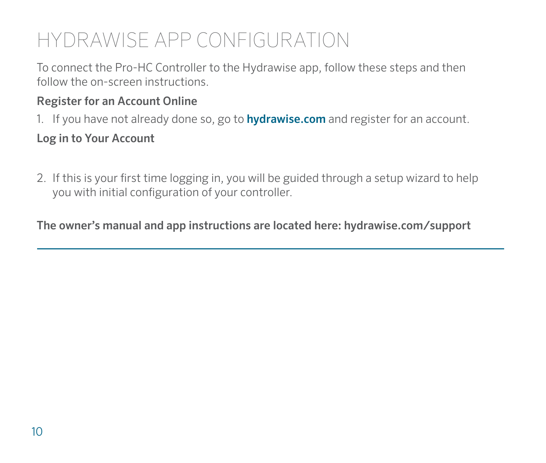# HYDRAWISE APP CONFIGURATION

To connect the Pro-HC Controller to the Hydrawise app, follow these steps and then follow the on-screen instructions.

#### Register for an Account Online

1. If you have not already done so, go to **hydrawise.com** and register for an account.

#### Log in to Your Account

2. If this is your first time logging in, you will be guided through a setup wizard to help you with initial configuration of your controller.

The owner's manual and app instructions are located here: hydrawise.com/support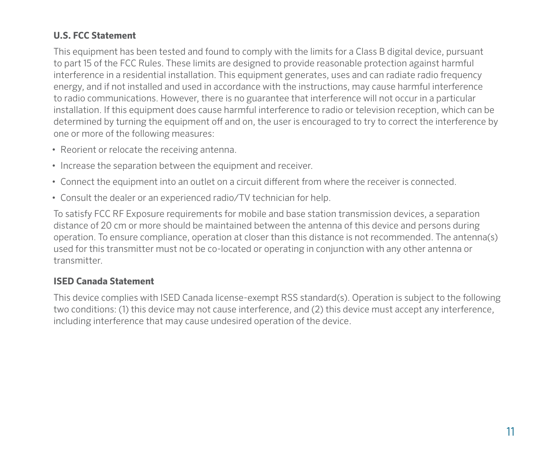#### **U.S. FCC Statement**

This equipment has been tested and found to comply with the limits for a Class B digital device, pursuant to part 15 of the FCC Rules. These limits are designed to provide reasonable protection against harmful interference in a residential installation. This equipment generates, uses and can radiate radio frequency energy, and if not installed and used in accordance with the instructions, may cause harmful interference to radio communications. However, there is no guarantee that interference will not occur in a particular installation. If this equipment does cause harmful interference to radio or television reception, which can be determined by turning the equipment off and on, the user is encouraged to try to correct the interference by one or more of the following measures:

- Reorient or relocate the receiving antenna.
- Increase the separation between the equipment and receiver.
- Connect the equipment into an outlet on a circuit different from where the receiver is connected.
- Consult the dealer or an experienced radio/TV technician for help.

To satisfy FCC RF Exposure requirements for mobile and base station transmission devices, a separation distance of 20 cm or more should be maintained between the antenna of this device and persons during operation. To ensure compliance, operation at closer than this distance is not recommended. The antenna(s) used for this transmitter must not be co-located or operating in conjunction with any other antenna or transmitter.

#### **ISED Canada Statement**

This device complies with ISED Canada license-exempt RSS standard(s). Operation is subject to the following two conditions: (1) this device may not cause interference, and (2) this device must accept any interference, including interference that may cause undesired operation of the device.